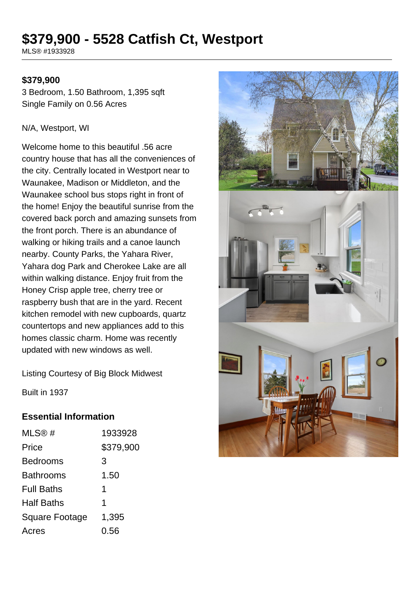# **\$379,900 - 5528 Catfish Ct, Westport**

MLS® #1933928

#### **\$379,900**

3 Bedroom, 1.50 Bathroom, 1,395 sqft Single Family on 0.56 Acres

#### N/A, Westport, WI

Welcome home to this beautiful .56 acre country house that has all the conveniences of the city. Centrally located in Westport near to Waunakee, Madison or Middleton, and the Waunakee school bus stops right in front of the home! Enjoy the beautiful sunrise from the covered back porch and amazing sunsets from the front porch. There is an abundance of walking or hiking trails and a canoe launch nearby. County Parks, the Yahara River, Yahara dog Park and Cherokee Lake are all within walking distance. Enjoy fruit from the Honey Crisp apple tree, cherry tree or raspberry bush that are in the yard. Recent kitchen remodel with new cupboards, quartz countertops and new appliances add to this homes classic charm. Home was recently updated with new windows as well.



Listing Courtesy of Big Block Midwest

Built in 1937

#### **Essential Information**

| MLS@#             | 1933928   |
|-------------------|-----------|
| Price             | \$379,900 |
| Bedrooms          | 3         |
| Bathrooms         | 1.50      |
| <b>Full Baths</b> | 1         |
| Half Baths        | 1         |
| Square Footage    | 1,395     |
| Acres             | 0.56      |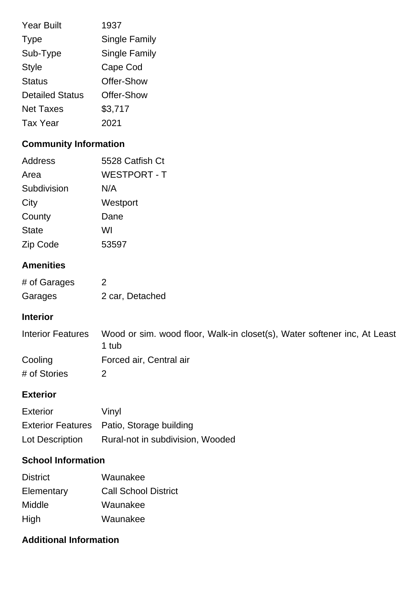| <b>Year Built</b>      | 1937                 |
|------------------------|----------------------|
| <b>Type</b>            | <b>Single Family</b> |
| Sub-Type               | <b>Single Family</b> |
| <b>Style</b>           | Cape Cod             |
| <b>Status</b>          | Offer-Show           |
| <b>Detailed Status</b> | Offer-Show           |
| <b>Net Taxes</b>       | \$3,717              |
| <b>Tax Year</b>        | 2021                 |

# **Community Information**

| Address      | 5528 Catfish Ct     |
|--------------|---------------------|
| Area         | <b>WESTPORT - T</b> |
| Subdivision  | N/A                 |
| City         | Westport            |
| County       | Dane                |
| <b>State</b> | WI                  |
| Zip Code     | 53597               |

## **Amenities**

| # of Garages | 2               |
|--------------|-----------------|
| Garages      | 2 car, Detached |

### **Interior**

| Interior Features | Wood or sim. wood floor, Walk-in closet(s), Water softener inc, At Least<br>1 tub |
|-------------------|-----------------------------------------------------------------------------------|
| Cooling           | Forced air, Central air                                                           |
| # of Stories      |                                                                                   |

#### **Exterior**

| <b>Exterior</b> | Vinyl                                     |
|-----------------|-------------------------------------------|
|                 | Exterior Features Patio, Storage building |
| Lot Description | Rural-not in subdivision, Wooded          |

# **School Information**

| <b>District</b> | Waunakee                    |
|-----------------|-----------------------------|
| Elementary      | <b>Call School District</b> |
| Middle          | Waunakee                    |
| High            | Waunakee                    |

# **Additional Information**